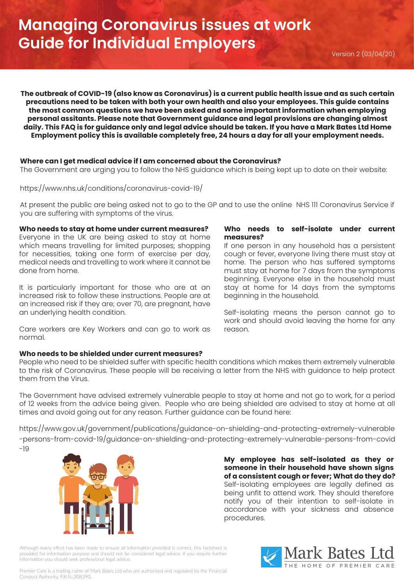# **Managing Coronavirus issues at work Guide for Individual Employers**

**The outbreak of COVID-19 (also know as Coronavirus) is a current public health issue and as such certain precautions need to be taken with both your own health and also your employees. This guide contains the most common questions we have been asked and some important information when employing personal assitants. Please note that Government guidance and legal provisions are changing almost daily. This FAQ is for guidance only and legal advice should be taken. If you have a Mark Bates Ltd Home Employment policy this is available completely free, 24 hours a day for all your employment needs.** 

### **Where can I get medical advice if I am concerned about the Coronavirus?**

The Government are urging you to follow the NHS guidance which is being kept up to date on their website:

<https://www.nhs.uk/conditions/coronavirus-covid-19/>

At present the public are being asked not to go to the GP and to use the online NHS 111 Coronavirus Service if you are suffering with symptoms of the virus.

**Who needs to stay at home under current measures?**  Everyone in the UK are being asked to stay at home which means travelling for limited purposes; shopping for necessities, taking one form of exercise per day, medical needs and travelling to work where it cannot be done from home.

It is particularly important for those who are at an increased risk to follow these instructions. People are at an increased risk if they are; over 70, are pregnant, have an underlying health condition.

Care workers are Key Workers and can go to work as normal.

# **Who needs to be shielded under current measures?**

#### **Who needs to self-isolate under current measures?**

If one person in any household has a persistent cough or fever, everyone living there must stay at home. The person who has suffered symptoms must stay at home for 7 days from the symptoms beginning. Everyone else in the household must stay at home for 14 days from the symptoms beginning in the household.

Self-isolating means the person cannot go to work and should avoid leaving the home for any reason.

People who need to be shielded suffer with specific health conditions which makes them extremely vulnerable to the risk of Coronavirus. These people will be receiving a letter from the NHS with guidance to help protect them from the Virus.

The Government have advised extremely vulnerable people to stay at home and not go to work, for a period of 12 weeks from the advice being given. People who are being shielded are advised to stay at home at all times and avoid going out for any reason. Further guidance can be found here:

https://www.gov.uk/government/publications/guidance-on-shielding-and-protecting-extremely-vulnerable [-persons-from-covid-19/guidance-on-shielding-and-protecting-extremely-vulnerable-persons-from-covid](https://www.gov.uk/government/publications/guidance-on-shielding-and-protecting-extremely-vulnerable-persons-from-covid-19/guidance-on-shielding-and-protecting-extremely-vulnerable-persons-from-covid-19) -19





**My employee has self-isolated as they or someone in their household have shown signs of a consistent cough or fever; What do they do?**  Self-isolating employees are legally defined as being unfit to attend work. They should therefore notify you of their intention to self-isolate in accordance with your sickness and absence procedures.

Although every effort has been made to ensure all information provided is correct, this factsheet is provided for information purpose and should not be considered legal advice. If you require further information you should seek professional legal advice.



Premier Care is a trading name of Mark Bates Ltd who are authorised and regulated by the Financial Conduct Authority, F.R.N.:308390.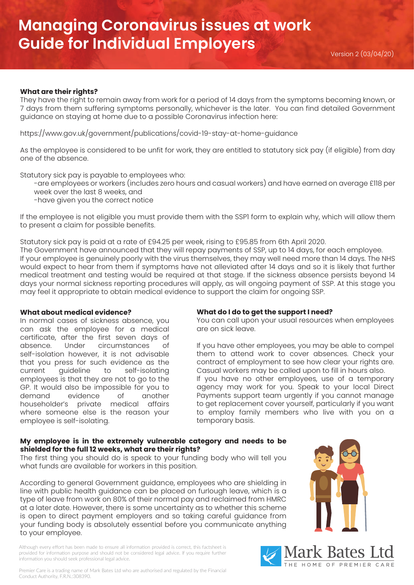# **Managing Coronavirus issues at work Guide for Individual Employers**

# **What are their rights?**

They have the right to remain away from work for a period of 14 days from the symptoms becoming known, or 7 days from them suffering symptoms personally, whichever is the later. You can find detailed Government guidance on staying at home due to a possible Coronavirus infection here:

<https://www.gov.uk/government/publications/covid-19-stay-at-home-guidance>

As the employee is considered to be unfit for work, they are entitled to statutory sick pay (if eligible) from day one of the absence.

Statutory sick pay is payable to employees who:

- -are employees or workers (includes zero hours and casual workers) and have earned on average £118 per week over the last 8 weeks, and
- -have given you the correct notice

If the employee is not eligible you must provide them with the SSP1 form to explain why, which will allow them to present a claim for possible benefits.

Statutory sick pay is paid at a rate of £94.25 per week, rising to £95.85 from 6th April 2020. The Government have announced that they will repay payments of SSP, up to 14 days, for each employee. If your employee is genuinely poorly with the virus themselves, they may well need more than 14 days. The NHS would expect to hear from them if symptoms have not alleviated after 14 days and so it is likely that further medical treatment and testing would be required at that stage. If the sickness absence persists beyond 14 days your normal sickness reporting procedures will apply, as will ongoing payment of SSP. At this stage you may feel it appropriate to obtain medical evidence to support the claim for ongoing SSP.

#### **What about medical evidence?**

In normal cases of sickness absence, you can ask the employee for a medical certificate, after the first seven days of circumstances self-isolation however, it is not advisable that you press for such evidence as the<br>current quideline to self-isolating self-isolating employees is that they are not to go to the GP. It would also be impossible for you to<br>demand evidence of another evidence of another<br>s private medical affairs householder's private medical where someone else is the reason your employee is self-isolating.

## **What do I do to get the support I need?**

You can call upon your usual resources when employees are on sick leave.

If you have other employees, you may be able to compel them to attend work to cover absences. Check your contract of employment to see how clear your rights are. Casual workers may be called upon to fill in hours also.

If you have no other employees, use of a temporary agency may work for you. Speak to your local Direct Payments support team urgently if you cannot manage to get replacement cover yourself, particularly if you want to employ family members who live with you on a temporary basis.

### **My employee is in the extremely vulnerable category and needs to be shielded for the full 12 weeks, what are their rights?**

The first thing you should do is speak to your funding body who will tell you what funds are available for workers in this position.

According to general Government guidance, employees who are shielding in line with public health guidance can be placed on furlough leave, which is a type of leave from work on 80% of their normal pay and reclaimed from HMRC at a later date. However, there is some uncertainty as to whether this scheme is open to direct payment employers and so taking careful guidance from your funding body is absolutely essential before you communicate anything to your employee.



Although every effort has been made to ensure all information provided is correct, this factsheet is provided for information purpose and should not be considered legal advice. If you require further information you should seek professional legal advice.



Premier Care is a trading name of Mark Bates Ltd who are authorised and regulated by the Financial Conduct Authority, F.R.N.:308390.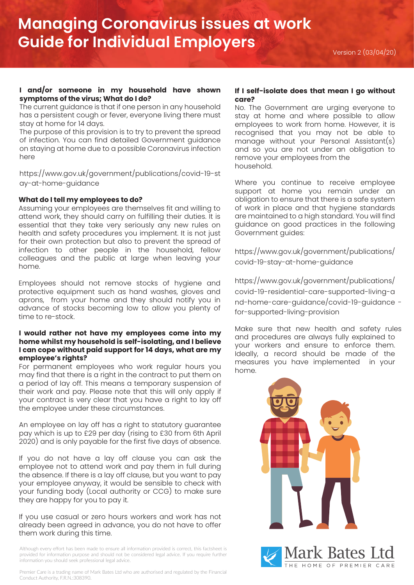# **Managing Coronavirus issues at work Guide for Individual Employers**

# **I and/or someone in my household have shown symptoms of the virus; What do I do?**

The current guidance is that if one person in any household has a persistent cough or fever, everyone living there must stay at home for 14 days.

The purpose of this provision is to try to prevent the spread of infection. You can find detailed Government guidance on staying at home due to a possible Coronavirus infection here

[https://www.gov.uk/government/publications/covid-19-st](https://www.gov.uk/government/publications/covid-19-stay-at-home-guidance) ay-at-home-guidance

# **What do I tell my employees to do?**

Assuming your employees are themselves fit and willing to attend work, they should carry on fulfilling their duties. It is essential that they take very seriously any new rules on health and safety procedures you implement. It is not just for their own protection but also to prevent the spread of infection to other people in the household, fellow colleagues and the public at large when leaving your home.

Employees should not remove stocks of hygiene and protective equipment such as hand washes, gloves and aprons, from your home and they should notify you in advance of stocks becoming low to allow you plenty of time to re-stock.

### **I would rather not have my employees come into my home whilst my household is self-isolating, and I believe I can cope without paid support for 14 days, what are my employee's rights?**

For permanent employees who work regular hours you may find that there is a right in the contract to put them on a period of lay off. This means a temporary suspension of their work and pay. Please note that this will only apply if your contract is very clear that you have a right to lay off the employee under these circumstances.

An employee on lay off has a right to statutory guarantee pay which is up to £29 per day (rising to £30 from 6th April 2020) and is only payable for the first five days of absence.

If you do not have a lay off clause you can ask the employee not to attend work and pay them in full during the absence. If there is a lay off clause, but you want to pay your employee anyway, it would be sensible to check with your funding body (Local authority or CCG) to make sure they are happy for you to pay it.

If you use casual or zero hours workers and work has not already been agreed in advance, you do not have to offer them work during this time.

Although every effort has been made to ensure all information provided is correct, this factsheet is provided for information purpose and should not be considered legal advice. If you require further information you should seek professional legal advice.

Premier Care is a trading name of Mark Bates Ltd who are authorised and regulated by the Financial Conduct Authority, F.R.N.:308390.

# **If I self-isolate does that mean I go without care?**

No. The Government are urging everyone to stay at home and where possible to allow employees to work from home. However, it is recognised that you may not be able to manage without your Personal Assistant(s) and so you are not under an obligation to remove your employees from the household.

Where you continue to receive employee support at home you remain under an obligation to ensure that there is a safe system of work in place and that hygiene standards are maintained to a high standard. You will find guidance on good practices in the following Government guides:

[https://www.gov.uk/government/publications/](https://www.gov.uk/government/publications/covid-19-stay-at-home-guidance) covid-19-stay-at-home-guidance

https://www.gov.uk/government/publications/ covid-19-residential-care-supported-living-a [nd-home-care-guidance/covid-19-guidance](https://www.gov.uk/government/publications/covid-19-residential-care-supported-living-and-home-care-guidance/covid-19-guidance-for-supported-living-provision) for-supported-living-provision

Make sure that new health and safety rules and procedures are always fully explained to your workers and ensure to enforce them. Ideally, a record should be made of the measures you have implemented in your home.



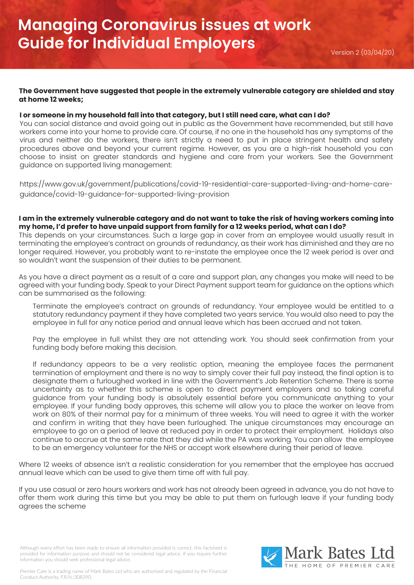# **Managing Coronavirus issues at work Guide for Individual Employers** Version 2 (03/04/20)

# **The Government have suggested that people in the extremely vulnerable category are shielded and stay at home 12 weeks;**

### **I or someone in my household fall into that category, but I still need care, what can I do?**

You can social distance and avoid going out in public as the Government have recommended, but still have workers come into your home to provide care. Of course, if no one in the household has any symptoms of the virus and neither do the workers, there isn't strictly a need to put in place stringent health and safety procedures above and beyond your current regime. However, as you are a high-risk household you can choose to insist on greater standards and hygiene and care from your workers. See the Government guidance on supported living management:

[https://www.gov.uk/government/publications/covid-19-residential-care-supported-living-and-home-care](https://www.gov.uk/government/publications/covid-19-residential-care-supported-living-and-home-care-guidance/covid-19-guidance-for-supported-living-provision)guidance/covid-19-guidance-for-supported-living-provision

### **I am in the extremely vulnerable category and do not want to take the risk of having workers coming into my home, I'd prefer to have unpaid support from family for a 12 weeks period, what can I do?**

This depends on your circumstances. Such a large gap in cover from an employee would usually result in terminating the employee's contract on grounds of redundancy, as their work has diminished and they are no longer required. However, you probably want to re-instate the employee once the 12 week period is over and so wouldn't want the suspension of their duties to be permanent.

As you have a direct payment as a result of a care and support plan, any changes you make will need to be agreed with your funding body. Speak to your Direct Payment support team for guidance on the options which can be summarised as the following:

Terminate the employee's contract on grounds of redundancy. Your employee would be entitled to a statutory redundancy payment if they have completed two years service. You would also need to pay the employee in full for any notice period and annual leave which has been accrued and not taken.

Pay the employee in full whilst they are not attending work. You should seek confirmation from your funding body before making this decision.

If redundancy appears to be a very realistic option, meaning the employee faces the permanent termination of employment and there is no way to simply cover their full pay instead, the final option is to designate them a furloughed worked in line with the Government's Job Retention Scheme. There is some uncertainty as to whether this scheme is open to direct payment employers and so taking careful guidance from your funding body is absolutely essential before you communicate anything to your employee. If your funding body approves, this scheme will allow you to place the worker on leave from work on 80% of their normal pay for a minimum of three weeks. You will need to agree it with the worker and confirm in writing that they have been furloughed. The unique circumstances may encourage an employee to go on a period of leave at reduced pay in order to protect their employment. Holidays also continue to accrue at the same rate that they did while the PA was working. You can allow the employee to be an emergency volunteer for the NHS or accept work elsewhere during their period of leave.

Where 12 weeks of absence isn't a realistic consideration for you remember that the employee has accrued annual leave which can be used to give them time off with full pay.

If you use casual or zero hours workers and work has not already been agreed in advance, you do not have to offer them work during this time but you may be able to put them on furlough leave if your funding body agrees the scheme

Although every effort has been made to ensure all information provided is correct, this factsheet is provided for information purpose and should not be considered legal advice. If you require further information you should seek professional legal advice.

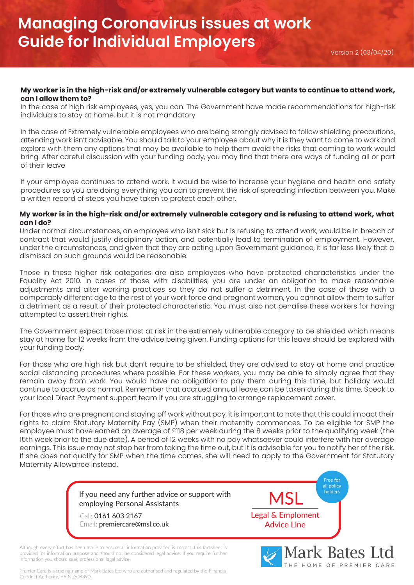# **Managing Coronavirus issues at work** Guide for Individual Employers **Vice Aurilie 10 (03/04/20)**

# **My worker is in the high-risk and/or extremely vulnerable category but wants to continue to attend work, can I allow them to?**

In the case of high risk employees, yes, you can. The Government have made recommendations for high-risk individuals to stay at home, but it is not mandatory.

In the case of Extremely vulnerable employees who are being strongly advised to follow shielding precautions, attending work isn't advisable. You should talk to your employee about why it is they want to come to work and explore with them any options that may be available to help them avoid the risks that coming to work would bring. After careful discussion with your funding body, you may find that there are ways of funding all or part of their leave

If your employee continues to attend work, it would be wise to increase your hygiene and health and safety procedures so you are doing everything you can to prevent the risk of spreading infection between you. Make a written record of steps you have taken to protect each other.

### **My worker is in the high-risk and/or extremely vulnerable category and is refusing to attend work, what can I do?**

Under normal circumstances, an employee who isn't sick but is refusing to attend work, would be in breach of contract that would justify disciplinary action, and potentially lead to termination of employment. However, under the circumstances, and given that they are acting upon Government guidance, it is far less likely that a dismissal on such grounds would be reasonable.

Those in these higher risk categories are also employees who have protected characteristics under the Equality Act 2010. In cases of those with disabilities, you are under an obligation to make reasonable adjustments and alter working practices so they do not suffer a detriment. In the case of those with a comparably different age to the rest of your work force and pregnant women, you cannot allow them to suffer a detriment as a result of their protected characteristic. You must also not penalise these workers for having attempted to assert their rights.

The Government expect those most at risk in the extremely vulnerable category to be shielded which means stay at home for 12 weeks from the advice being given. Funding options for this leave should be explored with your funding body.

For those who are high risk but don't require to be shielded, they are advised to stay at home and practice social distancing procedures where possible. For these workers, you may be able to simply agree that they remain away from work. You would have no obligation to pay them during this time, but holiday would continue to accrue as normal. Remember that accrued annual leave can be taken during this time. Speak to your local Direct Payment support team if you are struggling to arrange replacement cover.

For those who are pregnant and staying off work without pay, it is important to note that this could impact their rights to claim Statutory Maternity Pay (SMP) when their maternity commences. To be eligible for SMP the employee must have earned an average of £118 per week during the 8 weeks prior to the qualifying week (the 15th week prior to the due date). A period of 12 weeks with no pay whatsoever could interfere with her average earnings. This issue may not stop her from taking the time out, but it is advisable for you to notify her of the risk. If she does not qualify for SMP when the time comes, she will need to apply to the Government for Statutory Maternity Allowance instead.



Premier Care is a trading name of Mark Bates Ltd who are authorised and regulated by the Financial Conduct Authority, F.R.N.:308390.